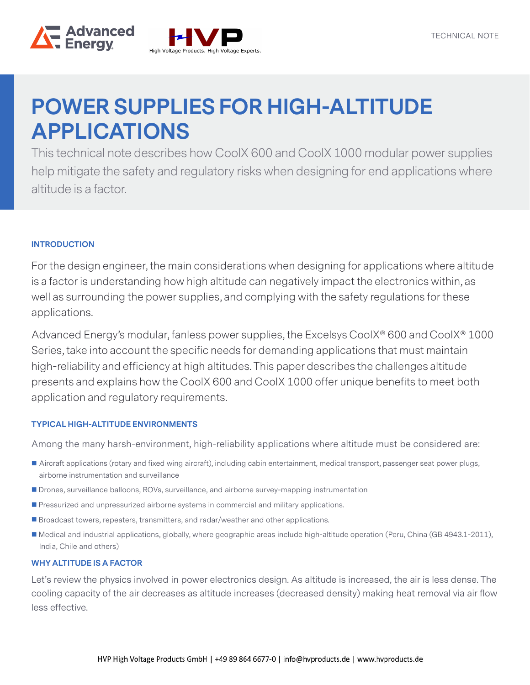



help mitigate the safety and regulatory risks when designing for end applications where This technical note describes how CoolX 600 and CoolX 1000 modular power supplies altitude is a factor.

# **INTRODUCTION**

For the design engineer, the main considerations when designing for applications where altitude is a factor is understanding how high altitude can negatively impact the electronics within, as well as surrounding the power supplies, and complying with the safety regulations for these applications.

Advanced Energy's modular, fanless power supplies, the Excelsys CoolX® 600 and CoolX® 1000 Series, take into account the specific needs for demanding applications that must maintain high-reliability and efficiency at high altitudes. This paper describes the challenges altitude presents and explains how the CoolX 600 and CoolX 1000 offer unique benefits to meet both application and regulatory requirements.

#### **TYPICAL HIGH-ALTITUDE ENVIRONMENTS**

Among the many harsh-environment, high-reliability applications where altitude must be considered are:

- Aircraft applications (rotary and fixed wing aircraft), including cabin entertainment, medical transport, passenger seat power plugs, airborne instrumentation and surveillance
- **Drones, surveillance balloons, ROVs, surveillance, and airborne survey-mapping instrumentation**
- **Pressurized and unpressurized airborne systems in commercial and military applications.**
- **Broadcast towers, repeaters, transmitters, and radar/weather and other applications.**
- Medical and industrial applications, globally, where geographic areas include high-altitude operation (Peru, China (GB 4943.1-2011), India, Chile and others)

#### **WHY ALTITUDE IS A FACTOR**

Let's review the physics involved in power electronics design. As altitude is increased, the air is less dense. The cooling capacity of the air decreases as altitude increases (decreased density) making heat removal via air flow less effective.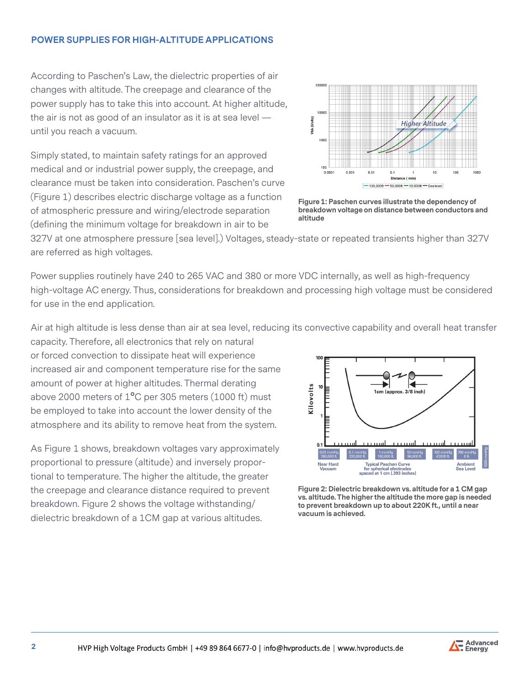According to Paschen's Law, the dielectric properties of air changes with altitude. The creepage and clearance of the power supply has to take this into account. At higher altitude, the air is not as good of an insulator as it is at sea level until you reach a vacuum.

Simply stated, to maintain safety ratings for an approved medical and or industrial power supply, the creepage, and clearance must be taken into consideration. Paschen's curve (Figure 1) describes electric discharge voltage as a function of atmospheric pressure and wiring/electrode separation (defining the minimum voltage for breakdown in air to be



**Figure 1: Paschen curves illustrate the dependency of breakdown voltage on distance between conductors and altitude**

327V at one atmosphere pressure [sea level].) Voltages, steady-state or repeated transients higher than 327V are referred as high voltages.

Power supplies routinely have 240 to 265 VAC and 380 or more VDC internally, as well as high-frequency high-voltage AC energy. Thus, considerations for breakdown and processing high voltage must be considered for use in the end application.

Air at high altitude is less dense than air at sea level, reducing its convective capability and overall heat transfer

capacity. Therefore, all electronics that rely on natural or forced convection to dissipate heat will experience increased air and component temperature rise for the same amount of power at higher altitudes. Thermal derating above 2000 meters of 1**°**C per 305 meters (1000 ft) must be employed to take into account the lower density of the atmosphere and its ability to remove heat from the system.

As Figure 1 shows, breakdown voltages vary approximately proportional to pressure (altitude) and inversely proportional to temperature. The higher the altitude, the greater the creepage and clearance distance required to prevent breakdown. Figure 2 shows the voltage withstanding/ dielectric breakdown of a 1CM gap at various altitudes.



**Figure 2: Dielectric breakdown vs. altitude for a 1 CM gap vs. altitude. The higher the altitude the more gap is needed to prevent breakdown up to about 220K ft., until a near vacuum is achieved.** 

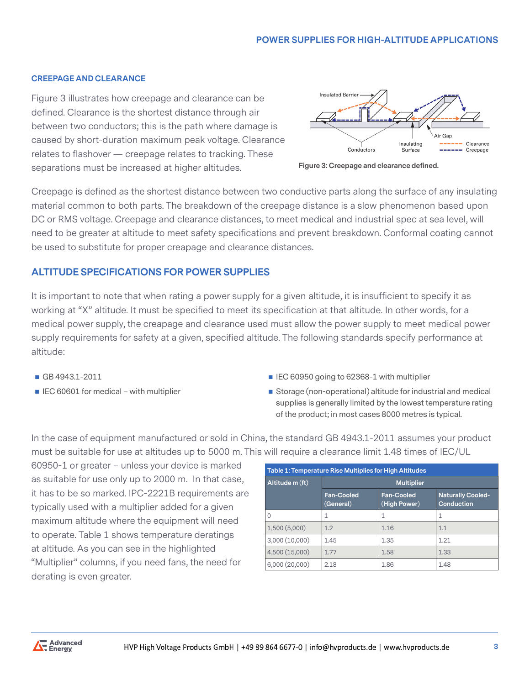#### **CREEPAGE AND CLEARANCE**

Figure 3 illustrates how creepage and clearance can be defined. Clearance is the shortest distance through air between two conductors; this is the path where damage is caused by short-duration maximum peak voltage. Clearance relates to flashover — creepage relates to tracking. These separations must be increased at higher altitudes.



**Figure 3: Creepage and clearance defined.**

Creepage is defined as the shortest distance between two conductive parts along the surface of any insulating material common to both parts. The breakdown of the creepage distance is a slow phenomenon based upon DC or RMS voltage. Creepage and clearance distances, to meet medical and industrial spec at sea level, will need to be greater at altitude to meet safety specifications and prevent breakdown. Conformal coating cannot be used to substitute for proper creapage and clearance distances.

# **ALTITUDE SPECIFICATIONS FOR POWER SUPPLIES**

It is important to note that when rating a power supply for a given altitude, it is insufficient to specify it as working at "X" altitude. It must be specified to meet its specification at that altitude. In other words, for a medical power supply, the creapage and clearance used must allow the power supply to meet medical power supply requirements for safety at a given, specified altitude. The following standards specify performance at altitude:

- 
- 
- **GB** 4943.1-2011 **IEC 60950 going to 62368-1 with multiplier**
- IEC 60601 for medical with multiplier **Storage (non-operational)** altitude for industrial and medical supplies is generally limited by the lowest temperature rating of the product; in most cases 8000 metres is typical.

In the case of equipment manufactured or sold in China, the standard GB 4943.1-2011 assumes your product must be suitable for use at altitudes up to 5000 m. This will require a clearance limit 1.48 times of IEC/UL

60950-1 or greater – unless your device is marked as suitable for use only up to 2000 m. In that case, it has to be so marked. IPC-2221B requirements are typically used with a multiplier added for a given maximum altitude where the equipment will need to operate. Table 1 shows temperature deratings at altitude. As you can see in the highlighted "Multiplier" columns, if you need fans, the need for derating is even greater.

| Table 1: Temperature Rise Multiplies for High Altitudes |                                |                                   |                                               |  |
|---------------------------------------------------------|--------------------------------|-----------------------------------|-----------------------------------------------|--|
| Altitude m (ft)                                         | <b>Multiplier</b>              |                                   |                                               |  |
|                                                         | <b>Fan-Cooled</b><br>(General) | <b>Fan-Cooled</b><br>(High Power) | <b>Naturally Cooled-</b><br><b>Conduction</b> |  |
| 0                                                       |                                | 1                                 | 1                                             |  |
| 1,500(5,000)                                            | 1.2                            | 1.16                              | 1.1                                           |  |
| 3,000(10,000)                                           | 1.45                           | 1.35                              | 1.21                                          |  |
| 4,500 (15,000)                                          | 1.77                           | 1.58                              | 1.33                                          |  |
| 6,000(20,000)                                           | 2.18                           | 1.86                              | 1.48                                          |  |

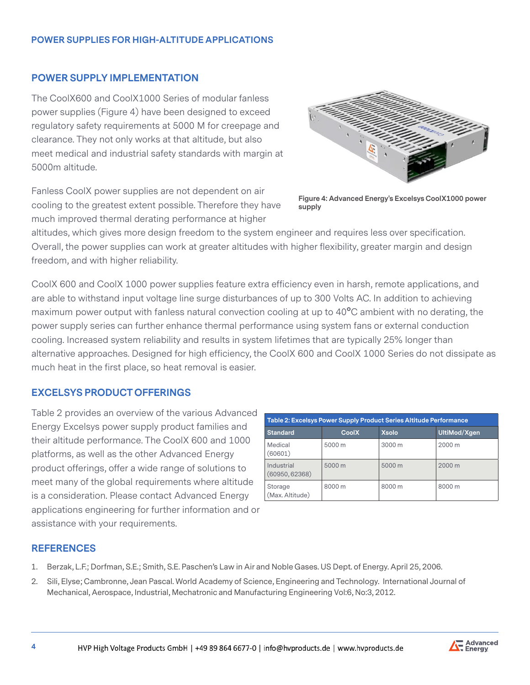# **POWER SUPPLY IMPLEMENTATION**

The CoolX600 and CoolX1000 Series of modular fanless power supplies (Figure 4) have been designed to exceed regulatory safety requirements at 5000 M for creepage and clearance. They not only works at that altitude, but also meet medical and industrial safety standards with margin at 5000m altitude.

Fanless CoolX power supplies are not dependent on air cooling to the greatest extent possible. Therefore they have much improved thermal derating performance at higher



**Figure 4: Advanced Energy's Excelsys CoolX1000 power supply**

altitudes, which gives more design freedom to the system engineer and requires less over specification. Overall, the power supplies can work at greater altitudes with higher flexibility, greater margin and design freedom, and with higher reliability.

CoolX 600 and CoolX 1000 power supplies feature extra efficiency even in harsh, remote applications, and are able to withstand input voltage line surge disturbances of up to 300 Volts AC. In addition to achieving maximum power output with fanless natural convection cooling at up to 40**°**C ambient with no derating, the power supply series can further enhance thermal performance using system fans or external conduction cooling. Increased system reliability and results in system lifetimes that are typically 25% longer than alternative approaches. Designed for high efficiency, the CoolX 600 and CoolX 1000 Series do not dissipate as much heat in the first place, so heat removal is easier.

# **EXCELSYS PRODUCT OFFERINGS**

Table 2 provides an overview of the various Advanced Energy Excelsys power supply product families and their altitude performance. The CoolX 600 and 1000 platforms, as well as the other Advanced Energy product offerings, offer a wide range of solutions to meet many of the global requirements where altitude is a consideration. Please contact Advanced Energy applications engineering for further information and or assistance with your requirements.

| Table 2: Excelsys Power Supply Product Series Altitude Performance |              |              |              |  |
|--------------------------------------------------------------------|--------------|--------------|--------------|--|
| <b>Standard</b>                                                    | <b>CoolX</b> | <b>Xsolo</b> | UltiMod/Xgen |  |
| Medical<br>(60601)                                                 | 5000 m       | 3000 m       | 2000 m       |  |
| Industrial<br>(60950, 62368)                                       | 5000 m       | 5000 m       | 2000 m       |  |
| Storage<br>(Max. Altitude)                                         | 8000 m       | 8000 m       | 8000 m       |  |

#### **REFERENCES**

- 1. Berzak, L.F.; Dorfman, S.E.; Smith, S.E. Paschen's Law in Air and Noble Gases. US Dept. of Energy. April 25, 2006.
- 2. Sili, Elyse; Cambronne, Jean Pascal. World Academy of Science, Engineering and Technology. International Journal of Mechanical, Aerospace, Industrial, Mechatronic and Manufacturing Engineering Vol:6, No:3, 2012.